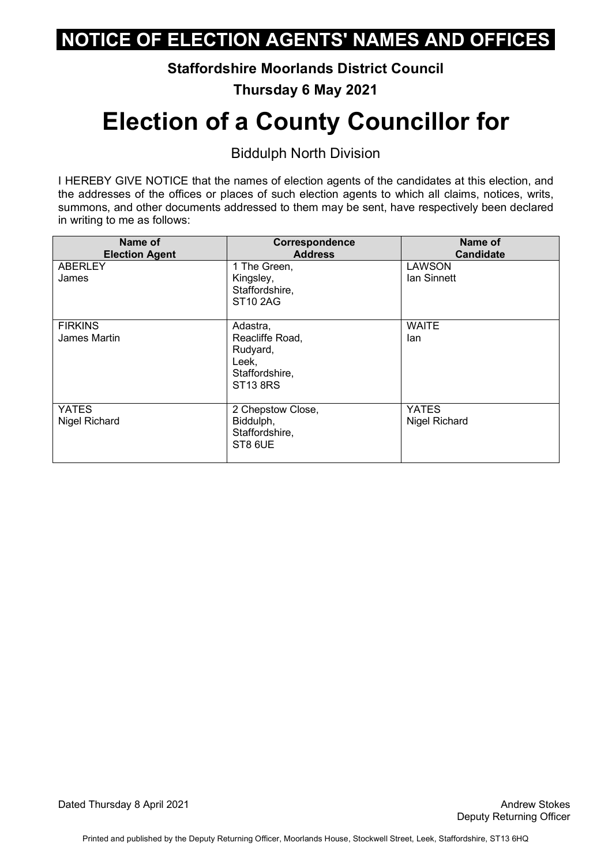**Staffordshire Moorlands District Council** 

**Thursday 6 May 2021** 

# **Election of a County Councillor for**

Biddulph North Division

 I HEREBY GIVE NOTICE that the names of election agents of the candidates at this election, and the addresses of the offices or places of such election agents to which all claims, notices, writs, summons, and other documents addressed to them may be sent, have respectively been declared in writing to me as follows:

| Name of<br><b>Election Agent</b> | Correspondence<br><b>Address</b>                                                      | Name of<br><b>Candidate</b>   |
|----------------------------------|---------------------------------------------------------------------------------------|-------------------------------|
| <b>ABERLEY</b><br>James          | 1 The Green,<br>Kingsley,<br>Staffordshire,<br><b>ST10 2AG</b>                        | <b>LAWSON</b><br>Ian Sinnett  |
| <b>FIRKINS</b><br>James Martin   | Adastra,<br>Reacliffe Road,<br>Rudyard,<br>Leek,<br>Staffordshire,<br><b>ST13 8RS</b> | <b>WAITE</b><br>lan           |
| <b>YATES</b><br>Nigel Richard    | 2 Chepstow Close,<br>Biddulph,<br>Staffordshire,<br>ST8 6UE                           | <b>YATES</b><br>Nigel Richard |

Dated Thursday 8 April 2021 **Andrew Stokes Dated Thursday 8 April 2021**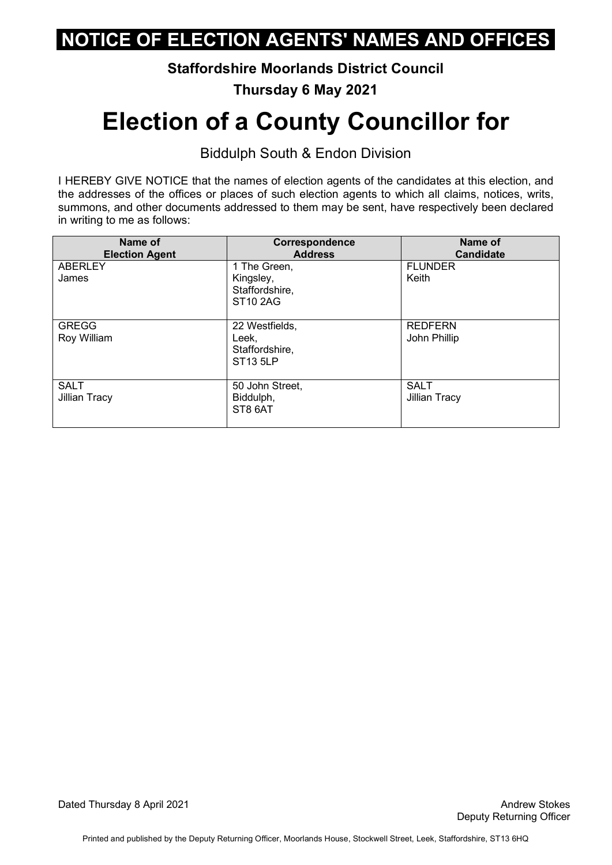**Staffordshire Moorlands District Council** 

**Thursday 6 May 2021** 

# **Election of a County Councillor for**

Biddulph South & Endon Division

| Name of<br><b>Election Agent</b> | Correspondence<br><b>Address</b>                               | Name of<br><b>Candidate</b>         |
|----------------------------------|----------------------------------------------------------------|-------------------------------------|
| <b>ABERLEY</b><br>James          | 1 The Green,<br>Kingsley,<br>Staffordshire,<br><b>ST10 2AG</b> | <b>FLUNDER</b><br>Keith             |
| <b>GREGG</b><br>Roy William      | 22 Westfields,<br>Leek,<br>Staffordshire,<br><b>ST13 5LP</b>   | <b>REDFERN</b><br>John Phillip      |
| <b>SALT</b><br>Jillian Tracy     | 50 John Street,<br>Biddulph,<br>ST8 6AT                        | <b>SALT</b><br><b>Jillian Tracy</b> |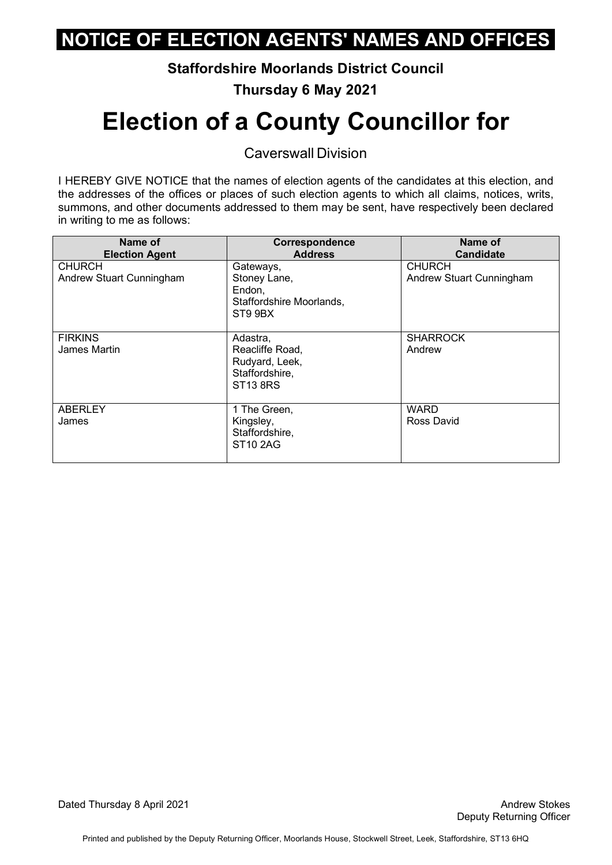**Staffordshire Moorlands District Council** 

**Thursday 6 May 2021** 

# **Election of a County Councillor for**

Caverswall Division

| Name of<br><b>Election Agent</b>          | Correspondence<br><b>Address</b>                                                   | Name of<br><b>Candidate</b>               |
|-------------------------------------------|------------------------------------------------------------------------------------|-------------------------------------------|
| <b>CHURCH</b><br>Andrew Stuart Cunningham | Gateways,<br>Stoney Lane,<br>Endon,<br>Staffordshire Moorlands,<br>ST9 9BX         | <b>CHURCH</b><br>Andrew Stuart Cunningham |
| <b>FIRKINS</b><br>James Martin            | Adastra,<br>Reacliffe Road,<br>Rudyard, Leek,<br>Staffordshire,<br><b>ST13 8RS</b> | <b>SHARROCK</b><br>Andrew                 |
| <b>ABERLEY</b><br>James                   | 1 The Green,<br>Kingsley,<br>Staffordshire,<br><b>ST10 2AG</b>                     | <b>WARD</b><br>Ross David                 |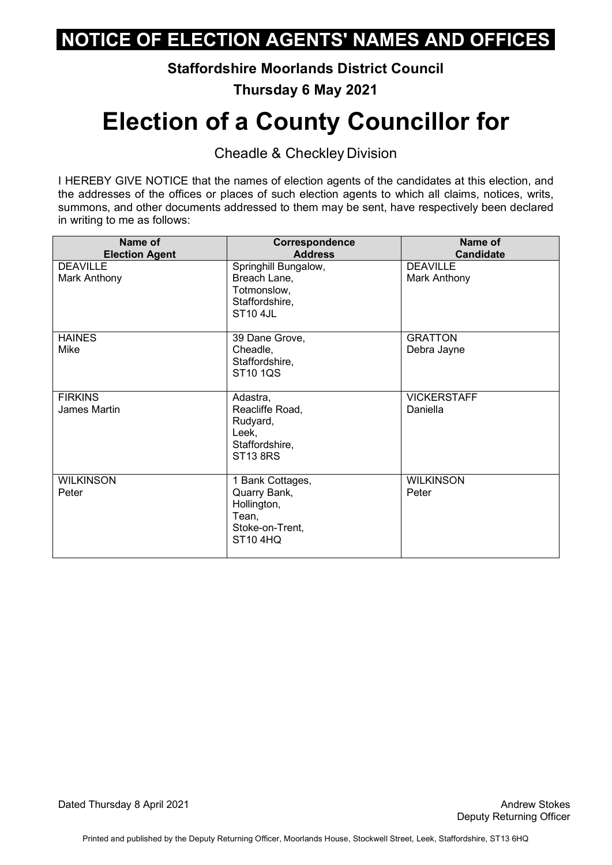**Staffordshire Moorlands District Council** 

**Thursday 6 May 2021** 

## **Election of a County Councillor for**

Cheadle & Checkley Division

 I HEREBY GIVE NOTICE that the names of election agents of the candidates at this election, and the addresses of the offices or places of such election agents to which all claims, notices, writs, summons, and other documents addressed to them may be sent, have respectively been declared in writing to me as follows:

| Name of<br><b>Election Agent</b> | Correspondence<br><b>Address</b>                                                               | Name of<br><b>Candidate</b>     |
|----------------------------------|------------------------------------------------------------------------------------------------|---------------------------------|
| <b>DEAVILLE</b><br>Mark Anthony  | Springhill Bungalow,<br>Breach Lane,<br>Totmonslow,<br>Staffordshire,<br><b>ST10 4JL</b>       | <b>DEAVILLE</b><br>Mark Anthony |
| <b>HAINES</b><br>Mike            | 39 Dane Grove,<br>Cheadle,<br>Staffordshire,<br>ST10 1QS                                       | <b>GRATTON</b><br>Debra Jayne   |
| <b>FIRKINS</b><br>James Martin   | Adastra,<br>Reacliffe Road,<br>Rudyard,<br>Leek,<br>Staffordshire,<br><b>ST13 8RS</b>          | <b>VICKERSTAFF</b><br>Daniella  |
| <b>WILKINSON</b><br>Peter        | 1 Bank Cottages,<br>Quarry Bank,<br>Hollington,<br>Tean,<br>Stoke-on-Trent,<br><b>ST10 4HQ</b> | <b>WILKINSON</b><br>Peter       |

Dated Thursday 8 April 2021 **Andrew Stokes Dated Thursday 8 April 2021**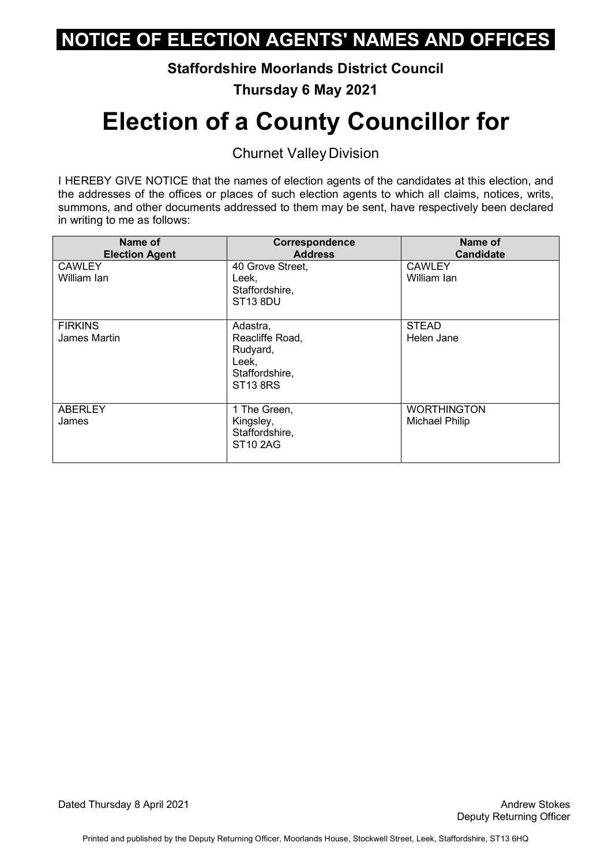**Staffordshire Moorlands District Council** 

**Thursday 6 May 2021** 

# **Election of a County Councillor for**

Churnet Valley Division

 I HEREBY GIVE NOTICE that the names of election agents of the candidates at this election, and the addresses of the offices or places of such election agents to which all claims, notices, writs, summons, and other documents addressed to them may be sent, have respectively been declared in writing to me as follows:

| Name of<br><b>Election Agent</b> | Correspondence<br><b>Address</b>                                                      | Name of<br><b>Candidate</b>          |
|----------------------------------|---------------------------------------------------------------------------------------|--------------------------------------|
| <b>CAWLEY</b><br>William Ian     | 40 Grove Street,<br>Leek,<br>Staffordshire,<br><b>ST13 8DU</b>                        | <b>CAWLEY</b><br>William Ian         |
| <b>FIRKINS</b><br>James Martin   | Adastra,<br>Reacliffe Road,<br>Rudyard,<br>Leek,<br>Staffordshire,<br><b>ST13 8RS</b> | <b>STEAD</b><br>Helen Jane           |
| <b>ABERLEY</b><br>James          | 1 The Green,<br>Kingsley,<br>Staffordshire,<br><b>ST10 2AG</b>                        | <b>WORTHINGTON</b><br>Michael Philip |

Dated Thursday 8 April 2021 **Andrew Stokes Dated Thursday 8 April 2021**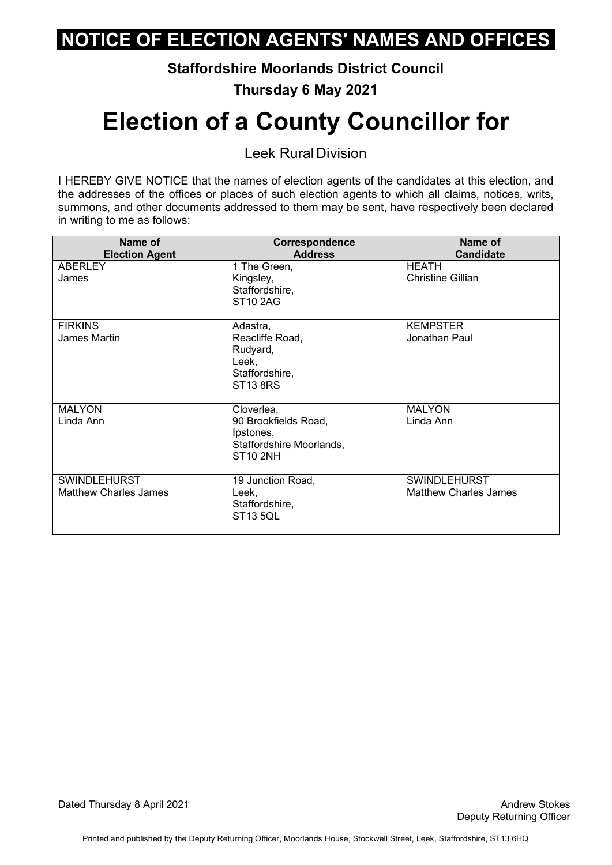**Staffordshire Moorlands District Council** 

**Thursday 6 May 2021** 

# **Election of a County Councillor for**

Leek Rural Division

| Name of<br><b>Election Agent</b>                    | Correspondence<br><b>Address</b>                                                               | Name of<br><b>Candidate</b>                         |
|-----------------------------------------------------|------------------------------------------------------------------------------------------------|-----------------------------------------------------|
| <b>ABERLEY</b><br>James                             | 1 The Green,<br>Kingsley,<br>Staffordshire,<br><b>ST10 2AG</b>                                 | HEATH<br>Christine Gillian                          |
| <b>FIRKINS</b><br>James Martin                      | Adastra,<br>Reacliffe Road,<br>Rudyard,<br>Leek,<br>Staffordshire,<br><b>ST13 8RS</b>          | <b>KEMPSTER</b><br>Jonathan Paul                    |
| <b>MALYON</b><br>Linda Ann                          | Cloverlea,<br>90 Brookfields Road,<br>Ipstones,<br>Staffordshire Moorlands,<br><b>ST10 2NH</b> | <b>MALYON</b><br>Linda Ann                          |
| <b>SWINDLEHURST</b><br><b>Matthew Charles James</b> | 19 Junction Road,<br>Leek,<br>Staffordshire,<br><b>ST13 5QL</b>                                | <b>SWINDLEHURST</b><br><b>Matthew Charles James</b> |